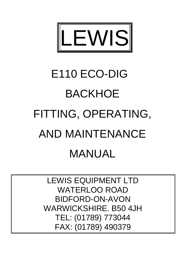

# E110 ECO-DIG BACKHOE FITTING, OPERATING, AND MAINTENANCE MANUAL

LEWIS EQUIPMENT LTD WATERLOO ROAD BIDFORD-ON-AVON WARWICKSHIRE. B50 4JH TEL: (01789) 773044 FAX: (01789) 490379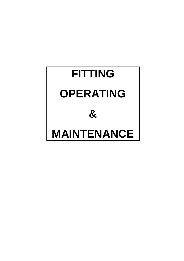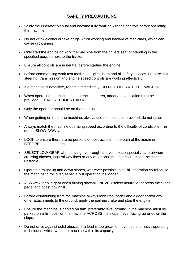# **SAFETY PRECAUTIONS**

- Study the Operator Manual and become fully familiar with the controls before operating the machine.
- Do not drink alcohol or take drugs whilst working and beware of medicines, which can cause drowsiness.
- Only start the engine or work the machine from the drivers seat or standing in the specified position next to the tractor.
- Ensure all controls are in neutral before starting the engine.
- Before commencing work test footbrake, lights, horn and all safety devices. Be sure that steering, transmission and engine speed controls are working effectively.
- If a machine is defective, report it immediately. DO NOT OPERATE THE MACHINE.
- When operating the machine in an enclosed area, adequate ventilation mustbe provided. EXHAUST FUMES CAN KILL.
- Only the operator should be on the machine.
- When getting on or off the machine, always use the footsteps provided, do not jump.
- Always match the machine operating speed according to the difficulty of conditions, if in doubt, SLOW DOWN.
- LOOK to ensure there are no persons or obstructions in the path of the machine BEFORE changing direction.
- SELECT LOW GEAR when driving over rough, uneven sites, especially careful when crossing ditches, logs railway lines or any other obstacle that could make the machine unstable.
- Operate straight up and down slopes, wherever possible, side-hill operation could cause the machine to roll over, especially if operating the loader.
- ALWAYS keep in gear when driving downhill, NEVER select neutral or depress the clutch pedal and coast downhill.
- Before dismounting from the machine always lower the loader and digger and/or any other attachments to the ground, apply the parkingbrake and stop the engine.
- Ensure the machine is parked on firm, preferably level ground. If the machine must be parked on a hill, position the machine ACROSS the slope, never facing up or down the slope.
- Do not drive against solid objects. If a load is too great to move use alternativeoperating techniques, which work the machine within its capacity.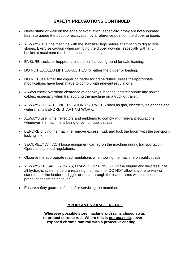# **SAFETY PRECAUTIONS CONTINUED**

- Never stand or walk on the edge of excavation, especially if they are not supported. Learn to gauge the depth of excavation by a reference point on the dipper or boom.
- ALWAYS level the machine with the stabilizer legs before attempting to dig across slopes. Exercise caution when swinging the dipper downhill especially with a full bucket at maximum reach, the machine could tip.
- ENSURE trucks or hoppers are sited on flat level ground for safe loading.
- DO NOT EXCEED LIFT CAPACITIES for either the digger or loading.
- DO NOT use either the digger or loader for crane duties unless the appropriate modifications have been made to comply with relevant regulations.
- Always check overhead clearance of doorways, bridges, and telephone and power cables, especially when transporting the machine on a truck or trailer.
- ALWAYS LOCATE UNDERGROUND SERVICES such as gas, electricity, telephone and water mains BEFORE STARTING WORK.
- ALWAYS use lights, reflectors and emblems to comply with relevant regulations whenever the machine is being driven on public roads.
- BEFORE driving the machine remove excess mud, and lock the boom with the transportlocking link.
- SECURELY ATTACH loose equipment carried on the machine during transportation. Operate local road regulations.
- Observe the appropriate road regulations when towing the machine on public roads.
- ALWAYS FIT SAFETY BARS, FRAMES OR PINS. STOP the engine and de-pressurize all hydraulic systems before repairing the machine. DO NOT allow anyone to walk or stand under the loader or digger or reach through the loader arms without these precautions first being taken.
- Ensure safety guards refitted after servicing the machine.

## **IMPORTANT STORAGE NOTICE**

**Wherever possible store machine with rams closed so as to protect chrome rod. Where this is not possible, cover exposed chrome ram rod with a protective coating.**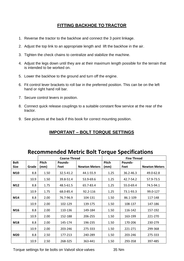# **FITTING BACKHOE TO TRACTOR**

- 1. Reverse the tractor to the backhoe and connect the 3 point linkage.
- 2. Adjust the top link to an appropriate length and lift the backhoe in the air.
- 3. Tighten the check chains to centralize and stabilize the machine.
- 4. Adjust the legs down until they are at their maximum length possible for the terrain that is intended to be worked on.
- 5. Lower the backhoe to the ground and turn off the engine.
- 6. Fit control lever brackets to roll bar in the preferred position. This can be on the left hand or right hand roll bar.
- 7. Secure control levers in position.
- 8. Connect quick release couplings to a suitable constant flow service at the rear of the tractor.
- 9. See pictures at the back if this book for correct mounting position.

# **IMPORTANT – BOLT TORQUE SETTINGS**

|             |       | <b>Coarse Thread</b> |                |                      | <b>Fine Thread</b> |                |                      |
|-------------|-------|----------------------|----------------|----------------------|--------------------|----------------|----------------------|
| <b>Bolt</b> |       | <b>Pitch</b>         | <b>Pounds-</b> |                      | Pitch              | <b>Pounds-</b> |                      |
| Size        | Grade | (mm)                 | Feet           | <b>Newton Meters</b> | (mm)               | Feet           | <b>Newton Meters</b> |
| M10         | 8.8   | 1.50                 | 32.5-41.2      | 44.1-55.9            | 1.25               | 36.2-46.3      | 49.0-62.8            |
|             | 10.9  | 1.50                 | 39.8-51.4      | 53.9-69.6            | 1.25               | 42.7-54.2      | 57.9-73.5            |
| M12         | 8.8   | 1.75                 | 48.5-61.5      | 65.7-83.4            | 1.25               | 55.0-69.4      | 74.5-94.1            |
|             | 10.9  | 1.75                 | 68.0-85.4      | 92.2-116             | 1.25               | 73.1-93.3      | 99.0-127             |
| M14         | 8.8   | 2.00                 | 76.7-96.9      | 104-131              | 1.50               | 86.1-109       | 117-148              |
|             | 10.9  | 2.00                 | 102-129        | 139-175              | 1.50               | 108-137        | 147-186              |
| M16         | 8.8   | 2.00                 | 110-136        | 149-184              | 1.50               | 116-142        | 157-192              |
|             | 10.9  | 2.00                 | 152-188        | 206-255              | 1.50               | 163-199        | 221-270              |
| M18         | 8.8   | 2.00                 | 145-174        | 196-235              | 1.50               | 170-206        | 230-279              |
|             | 10.9  | 2.00                 | 203-246        | 275-333              | 1.50               | 221-271        | 299-368              |
| M20         | 8.8   | 2.50                 | 177-213        | 240-289              | 1.50               | 203-246        | 275-333              |
|             | 10.9  | 2.50                 | 268-325        | 363-441              | 1.50               | 293-358        | 397-485              |

# **Recommended Metric Bolt Torque Specifications**

Torque settings for tie bolts on Valvoil slice valves 35 Nm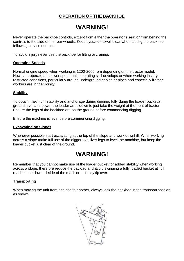# **OPERATION OF THE BACKHOE**

# **WARNING!**

Never operate the backhoe controls, except from either the operator's seat or from behind the controls to the side of the rear wheels. Keep bystanderswell clear when testing the backhoe following service or repair.

To avoid injury never use the backhoe for lifting or craning.

### **Operating Speeds**

Normal engine speed when working is 1200-2000 rpm depending on the tractor model. However, operate at a lower speed until operating skill develops or when working in very restricted conditions, particularly around underground cables or pipes and especially ifother workers are in the vicinity.

### **Stability**

To obtain maximum stability and anchorage during digging, fully dump the loader bucket at ground level and power the loader arms down to just take the weight at the front of tractor. Ensure the legs of the backhoe are on the ground before commencing digging.

Ensure the machine is level before commencing digging.

#### **Excavating on Slopes**

Whenever possible start excavating at the top of the slope and work downhill. Whenworking across a slope make full use of the digger stabilizer legs to level the machine, but keep the loader bucket just clear of the ground.

# **WARNING!**

Remember that you cannot make use of the loader bucket for added stability when working across a slope, therefore reduce the payload and avoid swinging a fully loaded bucket at full reach to the downhill side of the machine – it may tip over.

#### **Transporting**

When moving the unit from one site to another, always lock the backhoe in the transportposition as shown.

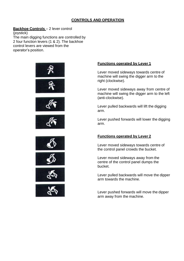# **CONTROLS AND OPERATION**

## **Backhoe Controls** – 2 lever control

(joystick) The main digging functions are controlled by 2 four function levers (1 & 2). The backhoe control levers are viewed from the operator's position.



## **Functions operated by Lever 1**

Lever moved sideways towards centre of machine will swing the digger arm to the right (clockwise).

Lever moved sideways away from centre of machine will swing the digger arm to the left (anti-clockwise).

Lever pulled backwards will lift the digging arm.

Lever pushed forwards will lower the digging arm.

## **Functions operated by Lever 2**

Lever moved sideways towards centre of the control panel crowds the bucket.

Lever moved sideways away from the centre of the control panel dumps the bucket.

Lever pulled backwards will move the dipper arm towards the machine.

Lever pushed forwards will move the dipper arm away from the machine.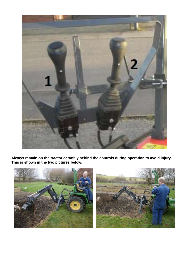

**Always remain on the tractor or safely behind the controls during operation to avoid injury. This is shown in the two pictures below.**

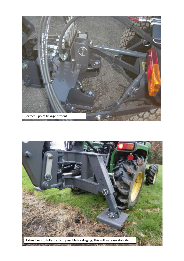